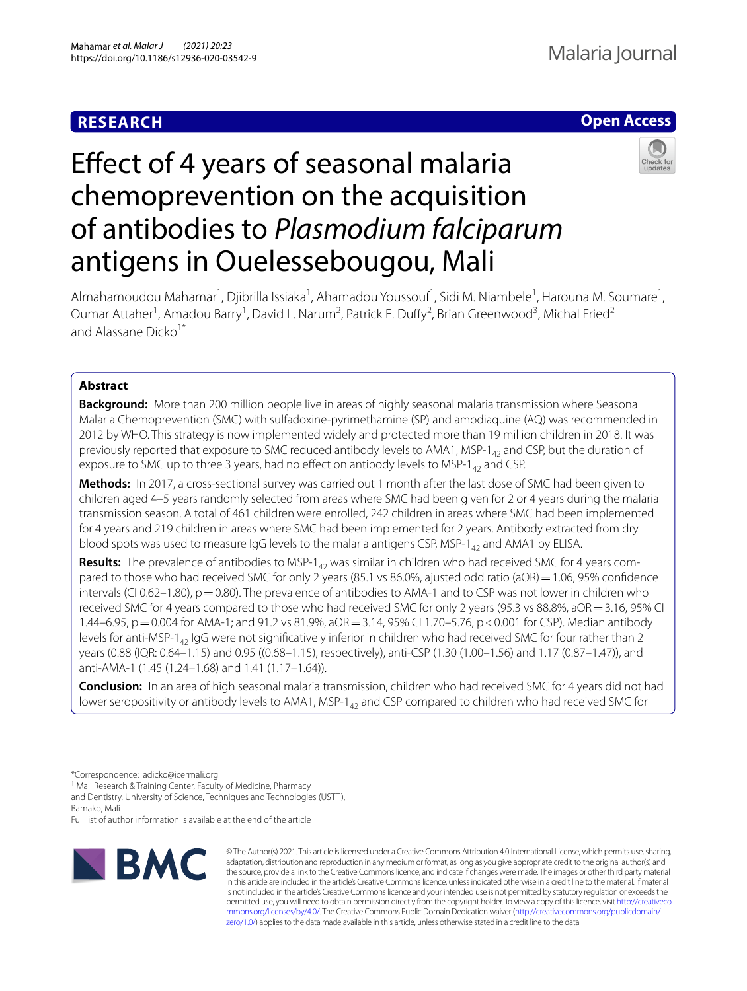# **RESEARCH**

# **Open Access**

# Effect of 4 years of seasonal malaria chemoprevention on the acquisition of antibodies to *Plasmodium falciparum* antigens in Ouelessebougou, Mali



Almahamoudou Mahamar<sup>1</sup>, Djibrilla Issiaka<sup>1</sup>, Ahamadou Youssouf<sup>1</sup>, Sidi M. Niambele<sup>1</sup>, Harouna M. Soumare<sup>1</sup>, Oumar Attaher<sup>1</sup>, Amadou Barry<sup>1</sup>, David L. Narum<sup>2</sup>, Patrick E. Duffy<sup>2</sup>, Brian Greenwood<sup>3</sup>, Michal Fried<sup>2</sup> and Alassane Dicko<sup>1\*</sup>

# **Abstract**

**Background:** More than 200 million people live in areas of highly seasonal malaria transmission where Seasonal Malaria Chemoprevention (SMC) with sulfadoxine-pyrimethamine (SP) and amodiaquine (AQ) was recommended in 2012 by WHO. This strategy is now implemented widely and protected more than 19 million children in 2018. It was previously reported that exposure to SMC reduced antibody levels to AMA1, MSP-1 $_{42}$  and CSP, but the duration of exposure to SMC up to three 3 years, had no effect on antibody levels to MSP-1 $_{42}$  and CSP.

**Methods:** In 2017, a cross-sectional survey was carried out 1 month after the last dose of SMC had been given to children aged 4–5 years randomly selected from areas where SMC had been given for 2 or 4 years during the malaria transmission season. A total of 461 children were enrolled, 242 children in areas where SMC had been implemented for 4 years and 219 children in areas where SMC had been implemented for 2 years. Antibody extracted from dry blood spots was used to measure IgG levels to the malaria antigens CSP, MSP-1 $_{42}$  and AMA1 by ELISA.

Results: The prevalence of antibodies to MSP-1<sub>42</sub> was similar in children who had received SMC for 4 years compared to those who had received SMC for only 2 years (85.1 vs 86.0%, ajusted odd ratio (aOR) = 1.06, 95% confidence intervals (CI 0.62–1.80),  $p=0.80$ ). The prevalence of antibodies to AMA-1 and to CSP was not lower in children who received SMC for 4 years compared to those who had received SMC for only 2 years (95.3 vs 88.8%, aOR = 3.16, 95% CI 1.44–6.95, p = 0.004 for AMA-1; and 91.2 vs 81.9%, aOR = 3.14, 95% CI 1.70–5.76, p < 0.001 for CSP). Median antibody levels for anti-MSP-1<sub>42</sub> IgG were not significatively inferior in children who had received SMC for four rather than 2 years (0.88 (IQR: 0.64–1.15) and 0.95 ((0.68–1.15), respectively), anti-CSP (1.30 (1.00–1.56) and 1.17 (0.87–1.47)), and anti-AMA-1 (1.45 (1.24–1.68) and 1.41 (1.17–1.64)).

**Conclusion:** In an area of high seasonal malaria transmission, children who had received SMC for 4 years did not had lower seropositivity or antibody levels to AMA1, MSP-1<sub>42</sub> and CSP compared to children who had received SMC for

<sup>1</sup> Mali Research & Training Center, Faculty of Medicine, Pharmacy

and Dentistry, University of Science, Techniques and Technologies (USTT), Bamako, Mali

Full list of author information is available at the end of the article



© The Author(s) 2021. This article is licensed under a Creative Commons Attribution 4.0 International License, which permits use, sharing, adaptation, distribution and reproduction in any medium or format, as long as you give appropriate credit to the original author(s) and the source, provide a link to the Creative Commons licence, and indicate if changes were made. The images or other third party material in this article are included in the article's Creative Commons licence, unless indicated otherwise in a credit line to the material. If material is not included in the article's Creative Commons licence and your intended use is not permitted by statutory regulation or exceeds the permitted use, you will need to obtain permission directly from the copyright holder. To view a copy of this licence, visit [http://creativeco](http://creativecommons.org/licenses/by/4.0/) [mmons.org/licenses/by/4.0/.](http://creativecommons.org/licenses/by/4.0/) The Creative Commons Public Domain Dedication waiver ([http://creativecommons.org/publicdomain/](http://creativecommons.org/publicdomain/zero/1.0/) [zero/1.0/\)](http://creativecommons.org/publicdomain/zero/1.0/) applies to the data made available in this article, unless otherwise stated in a credit line to the data.

<sup>\*</sup>Correspondence: adicko@icermali.org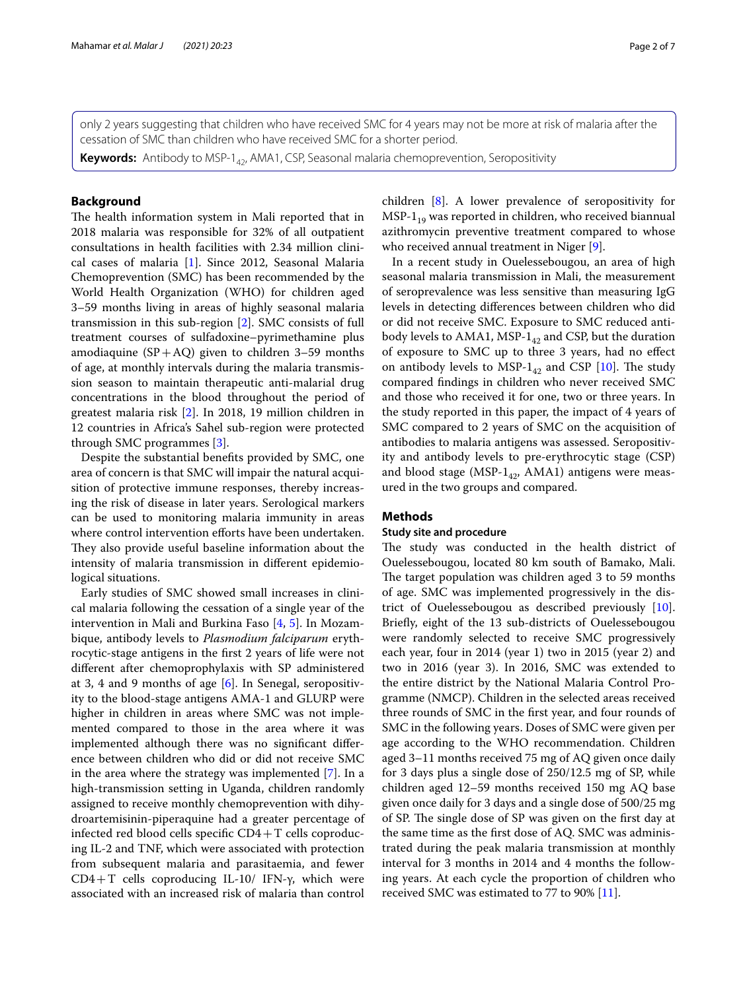only 2 years suggesting that children who have received SMC for 4 years may not be more at risk of malaria after the cessation of SMC than children who have received SMC for a shorter period.

**Keywords:** Antibody to MSP-1<sub>42</sub>, AMA1, CSP, Seasonal malaria chemoprevention, Seropositivity

# **Background**

The health information system in Mali reported that in 2018 malaria was responsible for 32% of all outpatient consultations in health facilities with 2.34 million clinical cases of malaria [\[1](#page-5-0)]. Since 2012, Seasonal Malaria Chemoprevention (SMC) has been recommended by the World Health Organization (WHO) for children aged 3–59 months living in areas of highly seasonal malaria transmission in this sub-region [\[2](#page-5-1)]. SMC consists of full treatment courses of sulfadoxine–pyrimethamine plus amodiaquine  $(SP+AQ)$  given to children 3–59 months of age, at monthly intervals during the malaria transmission season to maintain therapeutic anti-malarial drug concentrations in the blood throughout the period of greatest malaria risk [\[2](#page-5-1)]. In 2018, 19 million children in 12 countries in Africa's Sahel sub-region were protected through SMC programmes [[3](#page-5-2)].

Despite the substantial benefts provided by SMC, one area of concern is that SMC will impair the natural acquisition of protective immune responses, thereby increasing the risk of disease in later years. Serological markers can be used to monitoring malaria immunity in areas where control intervention efforts have been undertaken. They also provide useful baseline information about the intensity of malaria transmission in diferent epidemiological situations.

Early studies of SMC showed small increases in clinical malaria following the cessation of a single year of the intervention in Mali and Burkina Faso [[4,](#page-5-3) [5\]](#page-5-4). In Mozambique, antibody levels to *Plasmodium falciparum* erythrocytic-stage antigens in the frst 2 years of life were not diferent after chemoprophylaxis with SP administered at 3, 4 and 9 months of age [\[6](#page-5-5)]. In Senegal, seropositivity to the blood-stage antigens AMA-1 and GLURP were higher in children in areas where SMC was not implemented compared to those in the area where it was implemented although there was no signifcant diference between children who did or did not receive SMC in the area where the strategy was implemented [\[7](#page-5-6)]. In a high-transmission setting in Uganda, children randomly assigned to receive monthly chemoprevention with dihydroartemisinin-piperaquine had a greater percentage of infected red blood cells specific  $CD4+T$  cells coproducing IL-2 and TNF, which were associated with protection from subsequent malaria and parasitaemia, and fewer CD4+T cells coproducing IL-10/ IFN-γ, which were associated with an increased risk of malaria than control children [\[8](#page-5-7)]. A lower prevalence of seropositivity for  $MSP-1_{19}$  was reported in children, who received biannual azithromycin preventive treatment compared to whose who received annual treatment in Niger [[9](#page-5-8)].

In a recent study in Ouelessebougou, an area of high seasonal malaria transmission in Mali, the measurement of seroprevalence was less sensitive than measuring IgG levels in detecting diferences between children who did or did not receive SMC. Exposure to SMC reduced antibody levels to AMA1, MSP- $1_{42}$  and CSP, but the duration of exposure to SMC up to three 3 years, had no efect on antibody levels to MSP- $1_{42}$  and CSP [[10](#page-5-9)]. The study compared fndings in children who never received SMC and those who received it for one, two or three years. In the study reported in this paper, the impact of 4 years of SMC compared to 2 years of SMC on the acquisition of antibodies to malaria antigens was assessed. Seropositivity and antibody levels to pre-erythrocytic stage (CSP) and blood stage (MSP- $1_{42}$ , AMA1) antigens were measured in the two groups and compared.

## **Methods**

# **Study site and procedure**

The study was conducted in the health district of Ouelessebougou, located 80 km south of Bamako, Mali. The target population was children aged 3 to 59 months of age. SMC was implemented progressively in the district of Ouelessebougou as described previously [\[10](#page-5-9)]. Briefy, eight of the 13 sub-districts of Ouelessebougou were randomly selected to receive SMC progressively each year, four in 2014 (year 1) two in 2015 (year 2) and two in 2016 (year 3). In 2016, SMC was extended to the entire district by the National Malaria Control Programme (NMCP). Children in the selected areas received three rounds of SMC in the frst year, and four rounds of SMC in the following years. Doses of SMC were given per age according to the WHO recommendation. Children aged 3–11 months received 75 mg of AQ given once daily for 3 days plus a single dose of 250/12.5 mg of SP, while children aged 12–59 months received 150 mg AQ base given once daily for 3 days and a single dose of 500/25 mg of SP. The single dose of SP was given on the first day at the same time as the frst dose of AQ. SMC was administrated during the peak malaria transmission at monthly interval for 3 months in 2014 and 4 months the following years. At each cycle the proportion of children who received SMC was estimated to 77 to 90% [[11\]](#page-6-0).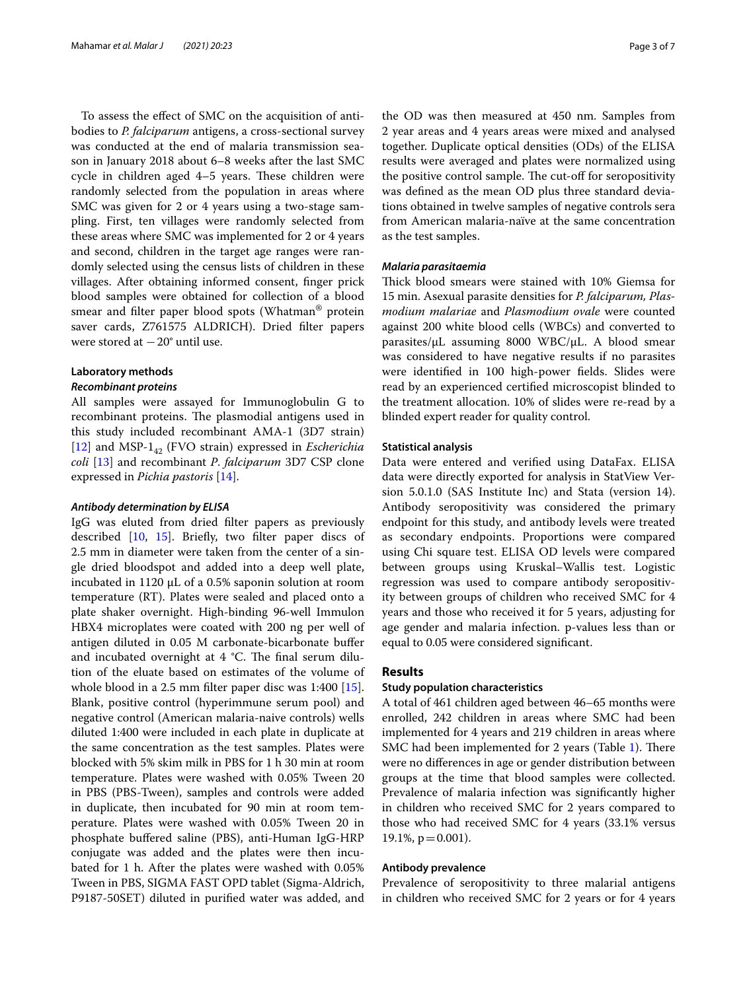To assess the efect of SMC on the acquisition of antibodies to *P. falciparum* antigens, a cross-sectional survey was conducted at the end of malaria transmission season in January 2018 about 6–8 weeks after the last SMC cycle in children aged  $4-5$  years. These children were randomly selected from the population in areas where SMC was given for 2 or 4 years using a two-stage sampling. First, ten villages were randomly selected from these areas where SMC was implemented for 2 or 4 years and second, children in the target age ranges were randomly selected using the census lists of children in these villages. After obtaining informed consent, fnger prick blood samples were obtained for collection of a blood smear and flter paper blood spots (Whatman® protein saver cards, Z761575 ALDRICH). Dried flter papers were stored at  $-20^\circ$  until use.

# **Laboratory methods**

# *Recombinant proteins*

All samples were assayed for Immunoglobulin G to recombinant proteins. The plasmodial antigens used in this study included recombinant AMA-1 (3D7 strain) [[12\]](#page-6-1) and MSP-1<sub>42</sub> (FVO strain) expressed in *Escherichia coli* [\[13](#page-6-2)] and recombinant *P*. *falciparum* 3D7 CSP clone expressed in *Pichia pastoris* [\[14](#page-6-3)].

#### *Antibody determination by ELISA*

IgG was eluted from dried flter papers as previously described [[10,](#page-5-9) [15\]](#page-6-4). Briefy, two flter paper discs of 2.5 mm in diameter were taken from the center of a single dried bloodspot and added into a deep well plate, incubated in 1120 μL of a 0.5% saponin solution at room temperature (RT). Plates were sealed and placed onto a plate shaker overnight. High-binding 96-well Immulon HBX4 microplates were coated with 200 ng per well of antigen diluted in 0.05 M carbonate-bicarbonate bufer and incubated overnight at  $4 \degree C$ . The final serum dilution of the eluate based on estimates of the volume of whole blood in a 2.5 mm flter paper disc was 1:400 [\[15](#page-6-4)]. Blank, positive control (hyperimmune serum pool) and negative control (American malaria-naive controls) wells diluted 1:400 were included in each plate in duplicate at the same concentration as the test samples. Plates were blocked with 5% skim milk in PBS for 1 h 30 min at room temperature. Plates were washed with 0.05% Tween 20 in PBS (PBS-Tween), samples and controls were added in duplicate, then incubated for 90 min at room temperature. Plates were washed with 0.05% Tween 20 in phosphate bufered saline (PBS), anti-Human IgG-HRP conjugate was added and the plates were then incubated for 1 h. After the plates were washed with 0.05% Tween in PBS, SIGMA FAST OPD tablet (Sigma-Aldrich, P9187-50SET) diluted in purifed water was added, and the OD was then measured at 450 nm. Samples from 2 year areas and 4 years areas were mixed and analysed together. Duplicate optical densities (ODs) of the ELISA results were averaged and plates were normalized using the positive control sample. The cut-off for seropositivity was defned as the mean OD plus three standard deviations obtained in twelve samples of negative controls sera from American malaria-naïve at the same concentration as the test samples.

### *Malaria parasitaemia*

Thick blood smears were stained with 10% Giemsa for 15 min. Asexual parasite densities for *P. falciparum, Plasmodium malariae* and *Plasmodium ovale* were counted against 200 white blood cells (WBCs) and converted to parasites/μL assuming 8000 WBC/μL. A blood smear was considered to have negative results if no parasites were identifed in 100 high-power felds. Slides were read by an experienced certifed microscopist blinded to the treatment allocation. 10% of slides were re-read by a blinded expert reader for quality control.

#### **Statistical analysis**

Data were entered and verifed using DataFax. ELISA data were directly exported for analysis in StatView Version 5.0.1.0 (SAS Institute Inc) and Stata (version 14). Antibody seropositivity was considered the primary endpoint for this study, and antibody levels were treated as secondary endpoints. Proportions were compared using Chi square test. ELISA OD levels were compared between groups using Kruskal–Wallis test. Logistic regression was used to compare antibody seropositivity between groups of children who received SMC for 4 years and those who received it for 5 years, adjusting for age gender and malaria infection. p-values less than or equal to 0.05 were considered signifcant.

## **Results**

#### **Study population characteristics**

A total of 461 children aged between 46–65 months were enrolled, 242 children in areas where SMC had been implemented for 4 years and 219 children in areas where SMC had been implemented for 2 years (Table [1\)](#page-3-0). There were no diferences in age or gender distribution between groups at the time that blood samples were collected. Prevalence of malaria infection was signifcantly higher in children who received SMC for 2 years compared to those who had received SMC for 4 years (33.1% versus  $19.1\%$ ,  $p = 0.001$ ).

# **Antibody prevalence**

Prevalence of seropositivity to three malarial antigens in children who received SMC for 2 years or for 4 years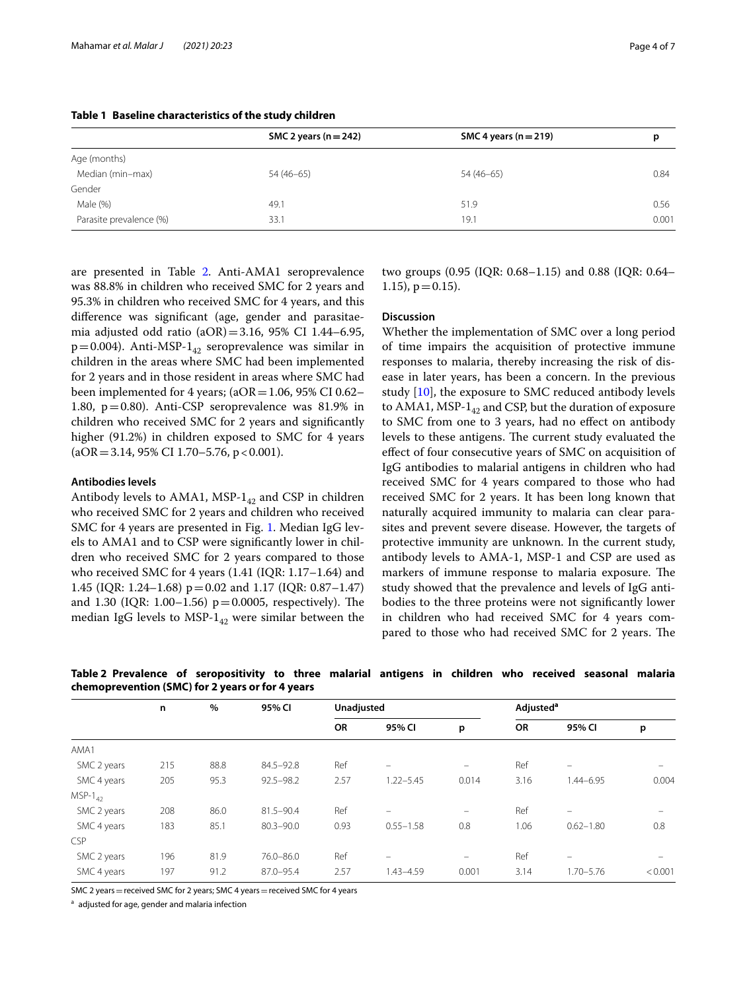|                         | SMC 2 years ( $n = 242$ ) | SMC 4 years ( $n = 219$ ) | р     |  |
|-------------------------|---------------------------|---------------------------|-------|--|
| Age (months)            |                           |                           |       |  |
| Median (min-max)        | 54 (46-65)                | 54 (46-65)                |       |  |
| Gender                  |                           |                           |       |  |
| Male (%)                | 49.1                      | 51.9                      | 0.56  |  |
| Parasite prevalence (%) | 33.1                      | 19.1                      | 0.001 |  |

# <span id="page-3-0"></span>**Table 1 Baseline characteristics of the study children**

are presented in Table [2](#page-3-1). Anti-AMA1 seroprevalence was 88.8% in children who received SMC for 2 years and 95.3% in children who received SMC for 4 years, and this diference was signifcant (age, gender and parasitaemia adjusted odd ratio (aOR)=3.16, 95% CI 1.44–6.95,  $p=0.004$ ). Anti-MSP-1<sub>42</sub> seroprevalence was similar in children in the areas where SMC had been implemented for 2 years and in those resident in areas where SMC had been implemented for 4 years;  $(aOR = 1.06, 95\% \text{ CI } 0.62-$ 1.80, p=0.80). Anti-CSP seroprevalence was 81.9% in children who received SMC for 2 years and signifcantly higher (91.2%) in children exposed to SMC for 4 years  $(aOR = 3.14, 95\% \text{ CI } 1.70 - 5.76, p < 0.001).$ 

### **Antibodies levels**

Antibody levels to AMA1, MSP- $1_{42}$  and CSP in children who received SMC for 2 years and children who received SMC for 4 years are presented in Fig. [1.](#page-4-0) Median IgG levels to AMA1 and to CSP were signifcantly lower in children who received SMC for 2 years compared to those who received SMC for 4 years (1.41 (IQR: 1.17–1.64) and 1.45 (IQR: 1.24–1.68) p=0.02 and 1.17 (IQR: 0.87–1.47) and 1.30 (IQR: 1.00–1.56)  $p = 0.0005$ , respectively). The median IgG levels to MSP- $1_{42}$  were similar between the two groups (0.95 (IQR: 0.68–1.15) and 0.88 (IQR: 0.64–  $1.15$ ,  $p = 0.15$ ).

# **Discussion**

Whether the implementation of SMC over a long period of time impairs the acquisition of protective immune responses to malaria, thereby increasing the risk of disease in later years, has been a concern. In the previous study [[10\]](#page-5-9), the exposure to SMC reduced antibody levels to AMA1, MSP- $1_{42}$  and CSP, but the duration of exposure to SMC from one to 3 years, had no efect on antibody levels to these antigens. The current study evaluated the efect of four consecutive years of SMC on acquisition of IgG antibodies to malarial antigens in children who had received SMC for 4 years compared to those who had received SMC for 2 years. It has been long known that naturally acquired immunity to malaria can clear parasites and prevent severe disease. However, the targets of protective immunity are unknown. In the current study, antibody levels to AMA-1, MSP-1 and CSP are used as markers of immune response to malaria exposure. The study showed that the prevalence and levels of IgG antibodies to the three proteins were not signifcantly lower in children who had received SMC for 4 years compared to those who had received SMC for 2 years. The

|              | n   | %    | 95% CI        | Unadjusted |               |                          | Adjusted <sup>a</sup> |                          |         |
|--------------|-----|------|---------------|------------|---------------|--------------------------|-----------------------|--------------------------|---------|
|              |     |      |               | <b>OR</b>  | 95% CI        | p                        | <b>OR</b>             | 95% CI                   | p       |
| AMA1         |     |      |               |            |               |                          |                       |                          |         |
| SMC 2 years  | 215 | 88.8 | 84.5-92.8     | Ref        | -             |                          | Ref                   |                          |         |
| SMC 4 years  | 205 | 95.3 | $92.5 - 98.2$ | 2.57       | $1.22 - 5.45$ | 0.014                    | 3.16                  | 1.44-6.95                | 0.004   |
| $MSP-1_{42}$ |     |      |               |            |               |                          |                       |                          |         |
| SMC 2 years  | 208 | 86.0 | 81.5-90.4     | Ref        | $-$           | $\overline{\phantom{0}}$ | Ref                   | $\overline{\phantom{0}}$ |         |
| SMC 4 years  | 183 | 85.1 | $80.3 - 90.0$ | 0.93       | $0.55 - 1.58$ | 0.8                      | 1.06                  | $0.62 - 1.80$            | 0.8     |
| <b>CSP</b>   |     |      |               |            |               |                          |                       |                          |         |
| SMC 2 years  | 196 | 81.9 | 76.0-86.0     | Ref        |               | $\overline{\phantom{0}}$ | Ref                   | $\overline{\phantom{0}}$ |         |
| SMC 4 years  | 197 | 91.2 | 87.0-95.4     | 2.57       | $1.43 - 4.59$ | 0.001                    | 3.14                  | 1.70-5.76                | < 0.001 |

<span id="page-3-1"></span>**Table 2 Prevalence of seropositivity to three malarial antigens in children who received seasonal malaria chemoprevention (SMC) for 2 years or for 4 years**

SMC 2 years = received SMC for 2 years; SMC 4 years = received SMC for 4 years

a adjusted for age, gender and malaria infection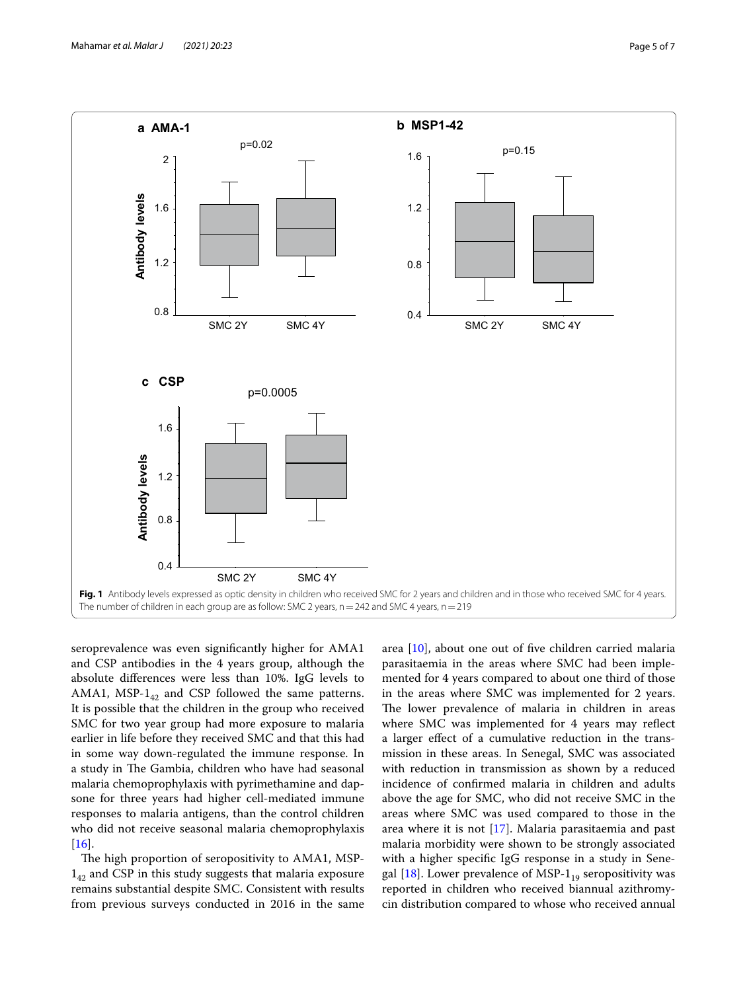

<span id="page-4-0"></span>seroprevalence was even signifcantly higher for AMA1 and CSP antibodies in the 4 years group, although the absolute diferences were less than 10%. IgG levels to AMA1, MSP- $1_{42}$  and CSP followed the same patterns. It is possible that the children in the group who received SMC for two year group had more exposure to malaria earlier in life before they received SMC and that this had in some way down-regulated the immune response. In a study in The Gambia, children who have had seasonal malaria chemoprophylaxis with pyrimethamine and dapsone for three years had higher cell-mediated immune responses to malaria antigens, than the control children who did not receive seasonal malaria chemoprophylaxis  $[16]$  $[16]$ .

The high proportion of seropositivity to AMA1, MSP- $1_{42}$  and CSP in this study suggests that malaria exposure remains substantial despite SMC. Consistent with results from previous surveys conducted in 2016 in the same area [\[10](#page-5-9)], about one out of fve children carried malaria parasitaemia in the areas where SMC had been implemented for 4 years compared to about one third of those in the areas where SMC was implemented for 2 years. The lower prevalence of malaria in children in areas where SMC was implemented for 4 years may refect a larger efect of a cumulative reduction in the transmission in these areas. In Senegal, SMC was associated with reduction in transmission as shown by a reduced incidence of confrmed malaria in children and adults above the age for SMC, who did not receive SMC in the areas where SMC was used compared to those in the area where it is not [[17](#page-6-6)]. Malaria parasitaemia and past malaria morbidity were shown to be strongly associated with a higher specifc IgG response in a study in Senegal  $[18]$  $[18]$  $[18]$ . Lower prevalence of MSP- $1_{19}$  seropositivity was reported in children who received biannual azithromycin distribution compared to whose who received annual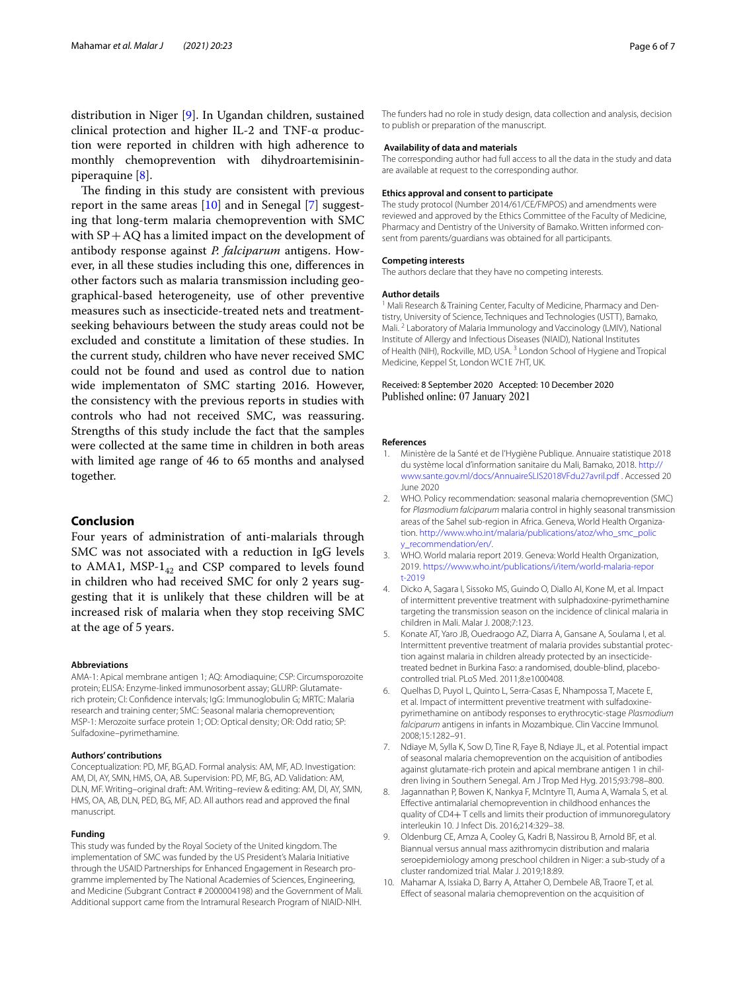distribution in Niger [\[9](#page-5-8)]. In Ugandan children, sustained clinical protection and higher IL-2 and TNF-α production were reported in children with high adherence to monthly chemoprevention with dihydroartemisininpiperaquine [\[8](#page-5-7)].

The finding in this study are consistent with previous report in the same areas  $[10]$  $[10]$  $[10]$  and in Senegal  $[7]$  $[7]$  suggesting that long-term malaria chemoprevention with SMC with  $SP + AQ$  has a limited impact on the development of antibody response against *P. falciparum* antigens. However, in all these studies including this one, diferences in other factors such as malaria transmission including geographical-based heterogeneity, use of other preventive measures such as insecticide-treated nets and treatmentseeking behaviours between the study areas could not be excluded and constitute a limitation of these studies. In the current study, children who have never received SMC could not be found and used as control due to nation wide implementaton of SMC starting 2016. However, the consistency with the previous reports in studies with controls who had not received SMC, was reassuring. Strengths of this study include the fact that the samples were collected at the same time in children in both areas with limited age range of 46 to 65 months and analysed together.

# **Conclusion**

Four years of administration of anti-malarials through SMC was not associated with a reduction in IgG levels to AMA1, MSP- $1_{42}$  and CSP compared to levels found in children who had received SMC for only 2 years suggesting that it is unlikely that these children will be at increased risk of malaria when they stop receiving SMC at the age of 5 years.

#### **Abbreviations**

AMA-1: Apical membrane antigen 1; AQ: Amodiaquine; CSP: Circumsporozoite protein; ELISA: Enzyme-linked immunosorbent assay; GLURP: Glutamaterich protein; CI: Confdence intervals; IgG: Immunoglobulin G; MRTC: Malaria research and training center; SMC: Seasonal malaria chemoprevention; MSP-1: Merozoite surface protein 1; OD: Optical density; OR: Odd ratio; SP: Sulfadoxine–pyrimethamine.

#### **Authors' contributions**

Conceptualization: PD, MF, BG,AD. Formal analysis: AM, MF, AD. Investigation: AM, DI, AY, SMN, HMS, OA, AB. Supervision: PD, MF, BG, AD. Validation: AM, DLN, MF. Writing–original draft: AM. Writing–review & editing: AM, DI, AY, SMN, HMS, OA, AB, DLN, PED, BG, MF, AD. All authors read and approved the fnal manuscript.

#### **Funding**

This study was funded by the Royal Society of the United kingdom. The implementation of SMC was funded by the US President's Malaria Initiative through the USAID Partnerships for Enhanced Engagement in Research programme implemented by The National Academies of Sciences, Engineering, and Medicine (Subgrant Contract # 2000004198) and the Government of Mali. Additional support came from the Intramural Research Program of NIAID-NIH. The funders had no role in study design, data collection and analysis, decision to publish or preparation of the manuscript.

## **Availability of data and materials**

The corresponding author had full access to all the data in the study and data are available at request to the corresponding author.

#### **Ethics approval and consent to participate**

The study protocol (Number 2014/61/CE/FMPOS) and amendments were reviewed and approved by the Ethics Committee of the Faculty of Medicine, Pharmacy and Dentistry of the University of Bamako. Written informed consent from parents/guardians was obtained for all participants.

#### **Competing interests**

The authors declare that they have no competing interests.

#### **Author details**

<sup>1</sup> Mali Research & Training Center, Faculty of Medicine, Pharmacy and Dentistry, University of Science, Techniques and Technologies (USTT), Bamako, Mali. <sup>2</sup> Laboratory of Malaria Immunology and Vaccinology (LMIV), National Institute of Allergy and Infectious Diseases (NIAID), National Institutes of Health (NIH), Rockville, MD, USA. 3 London School of Hygiene and Tropical Medicine, Keppel St, London WC1E 7HT, UK.

#### Received: 8 September 2020 Accepted: 10 December 2020 Published online: 07 January 2021

#### **References**

- <span id="page-5-0"></span>1. Ministère de la Santé et de l'Hygiène Publique. Annuaire statistique 2018 du système local d'information sanitaire du Mali, Bamako, 2018. [http://](http://www.sante.gov.ml/docs/AnnuaireSLIS2018VFdu27avril.pdf) [www.sante.gov.ml/docs/AnnuaireSLIS2018VFdu27avril.pdf](http://www.sante.gov.ml/docs/AnnuaireSLIS2018VFdu27avril.pdf) . Accessed 20 June 2020
- <span id="page-5-1"></span>2. WHO. Policy recommendation: seasonal malaria chemoprevention (SMC) for *Plasmodium falciparum* malaria control in highly seasonal transmission areas of the Sahel sub-region in Africa. Geneva, World Health Organization. [http://www.who.int/malaria/publications/atoz/who\\_smc\\_polic](http://www.who.int/malaria/publications/atoz/who_smc_policy_recommendation/en/) [y\\_recommendation/en/](http://www.who.int/malaria/publications/atoz/who_smc_policy_recommendation/en/).
- <span id="page-5-2"></span>3. WHO. World malaria report 2019. Geneva: World Health Organization, 2019. [https://www.who.int/publications/i/item/world-malaria-repor](https://www.who.int/publications/i/item/world-malaria-report-2019) [t-2019](https://www.who.int/publications/i/item/world-malaria-report-2019)
- <span id="page-5-3"></span>4. Dicko A, Sagara I, Sissoko MS, Guindo O, Diallo AI, Kone M, et al. Impact of intermittent preventive treatment with sulphadoxine-pyrimethamine targeting the transmission season on the incidence of clinical malaria in children in Mali. Malar J. 2008;7:123.
- <span id="page-5-4"></span>5. Konate AT, Yaro JB, Ouedraogo AZ, Diarra A, Gansane A, Soulama I, et al. Intermittent preventive treatment of malaria provides substantial protection against malaria in children already protected by an insecticidetreated bednet in Burkina Faso: a randomised, double-blind, placebocontrolled trial. PLoS Med. 2011;8:e1000408.
- <span id="page-5-5"></span>6. Quelhas D, Puyol L, Quinto L, Serra-Casas E, Nhampossa T, Macete E, et al. Impact of intermittent preventive treatment with sulfadoxinepyrimethamine on antibody responses to erythrocytic-stage *Plasmodium falciparum* antigens in infants in Mozambique. Clin Vaccine Immunol. 2008;15:1282–91.
- <span id="page-5-6"></span>7. Ndiaye M, Sylla K, Sow D, Tine R, Faye B, Ndiaye JL, et al. Potential impact of seasonal malaria chemoprevention on the acquisition of antibodies against glutamate-rich protein and apical membrane antigen 1 in children living in Southern Senegal. Am J Trop Med Hyg. 2015;93:798–800.
- <span id="page-5-7"></span>8. Jagannathan P, Bowen K, Nankya F, McIntyre TI, Auma A, Wamala S, et al. Efective antimalarial chemoprevention in childhood enhances the quality of CD4+ T cells and limits their production of immunoregulatory interleukin 10. J Infect Dis. 2016;214:329–38.
- <span id="page-5-8"></span>9. Oldenburg CE, Amza A, Cooley G, Kadri B, Nassirou B, Arnold BF, et al. Biannual versus annual mass azithromycin distribution and malaria seroepidemiology among preschool children in Niger: a sub-study of a cluster randomized trial. Malar J. 2019;18:89.
- <span id="page-5-9"></span>10. Mahamar A, Issiaka D, Barry A, Attaher O, Dembele AB, Traore T, et al. Efect of seasonal malaria chemoprevention on the acquisition of